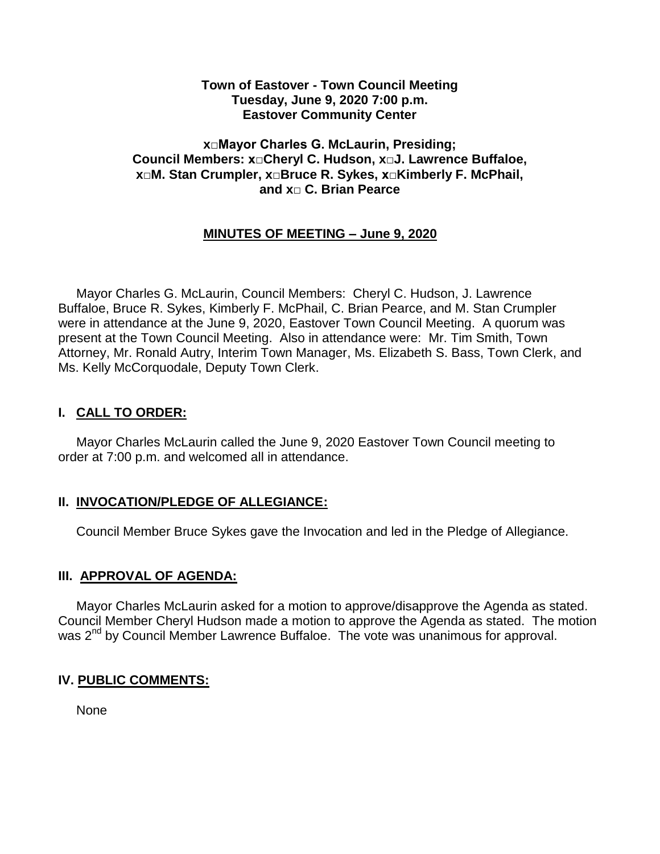#### **Town of Eastover - Town Council Meeting Tuesday, June 9, 2020 7:00 p.m. Eastover Community Center**

#### **x□Mayor Charles G. McLaurin, Presiding; Council Members: x□Cheryl C. Hudson, x□J. Lawrence Buffaloe, x□M. Stan Crumpler, x□Bruce R. Sykes, x□Kimberly F. McPhail, and x□ C. Brian Pearce**

# **MINUTES OF MEETING – June 9, 2020**

 Mayor Charles G. McLaurin, Council Members: Cheryl C. Hudson, J. Lawrence Buffaloe, Bruce R. Sykes, Kimberly F. McPhail, C. Brian Pearce, and M. Stan Crumpler were in attendance at the June 9, 2020, Eastover Town Council Meeting. A quorum was present at the Town Council Meeting. Also in attendance were: Mr. Tim Smith, Town Attorney, Mr. Ronald Autry, Interim Town Manager, Ms. Elizabeth S. Bass, Town Clerk, and Ms. Kelly McCorquodale, Deputy Town Clerk.

## **I. CALL TO ORDER:**

 Mayor Charles McLaurin called the June 9, 2020 Eastover Town Council meeting to order at 7:00 p.m. and welcomed all in attendance.

## **II. INVOCATION/PLEDGE OF ALLEGIANCE:**

Council Member Bruce Sykes gave the Invocation and led in the Pledge of Allegiance.

## **III. APPROVAL OF AGENDA:**

 Mayor Charles McLaurin asked for a motion to approve/disapprove the Agenda as stated. Council Member Cheryl Hudson made a motion to approve the Agenda as stated. The motion was 2<sup>nd</sup> by Council Member Lawrence Buffaloe. The vote was unanimous for approval.

# **IV. PUBLIC COMMENTS:**

None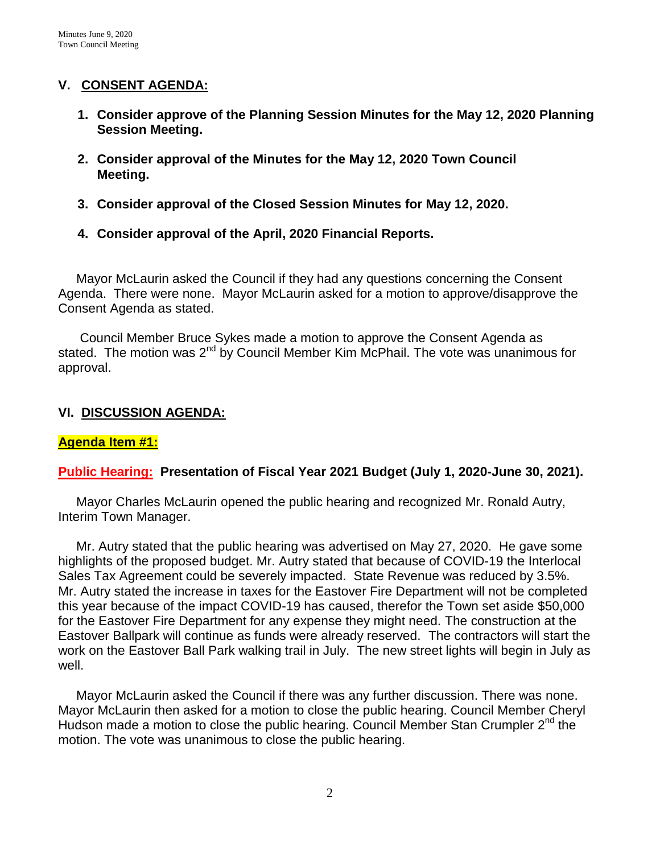## **V. CONSENT AGENDA:**

- **1. Consider approve of the Planning Session Minutes for the May 12, 2020 Planning Session Meeting.**
- **2. Consider approval of the Minutes for the May 12, 2020 Town Council Meeting.**
- **3. Consider approval of the Closed Session Minutes for May 12, 2020.**
- **4. Consider approval of the April, 2020 Financial Reports.**

 Mayor McLaurin asked the Council if they had any questions concerning the Consent Agenda. There were none. Mayor McLaurin asked for a motion to approve/disapprove the Consent Agenda as stated.

 Council Member Bruce Sykes made a motion to approve the Consent Agenda as stated. The motion was 2<sup>nd</sup> by Council Member Kim McPhail. The vote was unanimous for approval.

# **VI. DISCUSSION AGENDA:**

# **Agenda Item #1:**

# **Public Hearing: Presentation of Fiscal Year 2021 Budget (July 1, 2020-June 30, 2021).**

 Mayor Charles McLaurin opened the public hearing and recognized Mr. Ronald Autry, Interim Town Manager.

 Mr. Autry stated that the public hearing was advertised on May 27, 2020. He gave some highlights of the proposed budget. Mr. Autry stated that because of COVID-19 the Interlocal Sales Tax Agreement could be severely impacted. State Revenue was reduced by 3.5%. Mr. Autry stated the increase in taxes for the Eastover Fire Department will not be completed this year because of the impact COVID-19 has caused, therefor the Town set aside \$50,000 for the Eastover Fire Department for any expense they might need. The construction at the Eastover Ballpark will continue as funds were already reserved. The contractors will start the work on the Eastover Ball Park walking trail in July. The new street lights will begin in July as well.

 Mayor McLaurin asked the Council if there was any further discussion. There was none. Mayor McLaurin then asked for a motion to close the public hearing. Council Member Cheryl Hudson made a motion to close the public hearing. Council Member Stan Crumpler  $2<sup>nd</sup>$  the motion. The vote was unanimous to close the public hearing.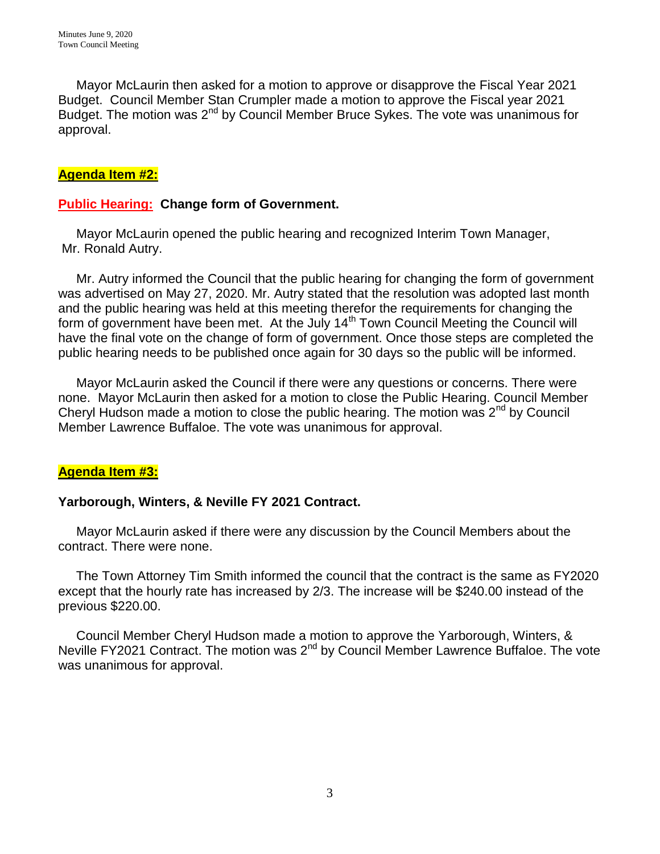Mayor McLaurin then asked for a motion to approve or disapprove the Fiscal Year 2021 Budget. Council Member Stan Crumpler made a motion to approve the Fiscal year 2021 Budget. The motion was 2<sup>nd</sup> by Council Member Bruce Sykes. The vote was unanimous for approval.

# **Agenda Item #2:**

# **Public Hearing: Change form of Government.**

 Mayor McLaurin opened the public hearing and recognized Interim Town Manager, Mr. Ronald Autry.

 Mr. Autry informed the Council that the public hearing for changing the form of government was advertised on May 27, 2020. Mr. Autry stated that the resolution was adopted last month and the public hearing was held at this meeting therefor the requirements for changing the form of government have been met. At the July 14<sup>th</sup> Town Council Meeting the Council will have the final vote on the change of form of government. Once those steps are completed the public hearing needs to be published once again for 30 days so the public will be informed.

 Mayor McLaurin asked the Council if there were any questions or concerns. There were none. Mayor McLaurin then asked for a motion to close the Public Hearing. Council Member Cheryl Hudson made a motion to close the public hearing. The motion was 2<sup>nd</sup> by Council Member Lawrence Buffaloe. The vote was unanimous for approval.

## **Agenda Item #3:**

## **Yarborough, Winters, & Neville FY 2021 Contract.**

 Mayor McLaurin asked if there were any discussion by the Council Members about the contract. There were none.

 The Town Attorney Tim Smith informed the council that the contract is the same as FY2020 except that the hourly rate has increased by 2/3. The increase will be \$240.00 instead of the previous \$220.00.

 Council Member Cheryl Hudson made a motion to approve the Yarborough, Winters, & Neville FY2021 Contract. The motion was 2<sup>nd</sup> by Council Member Lawrence Buffaloe. The vote was unanimous for approval.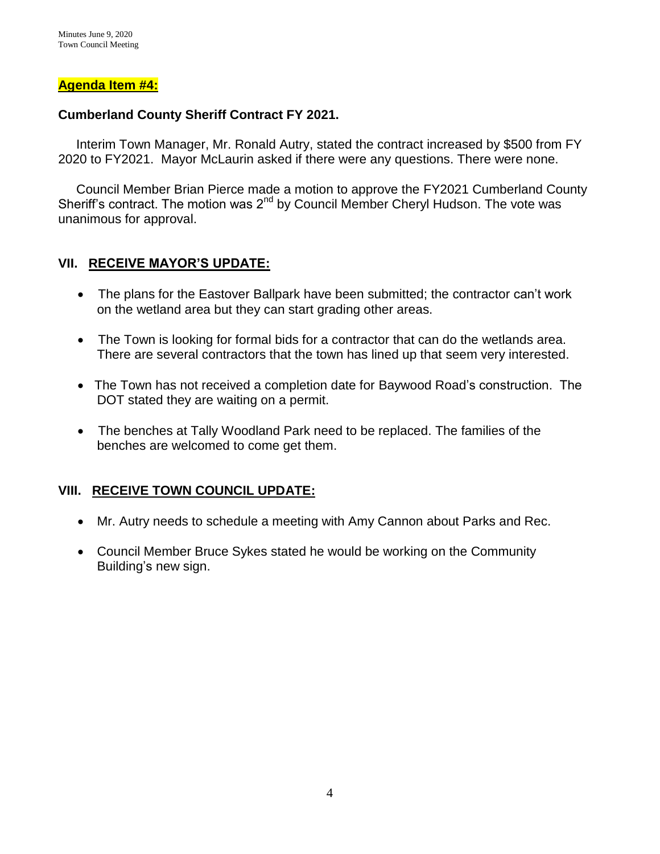#### **Agenda Item #4:**

#### **Cumberland County Sheriff Contract FY 2021.**

 Interim Town Manager, Mr. Ronald Autry, stated the contract increased by \$500 from FY 2020 to FY2021. Mayor McLaurin asked if there were any questions. There were none.

 Council Member Brian Pierce made a motion to approve the FY2021 Cumberland County Sheriff's contract. The motion was  $2^{nd}$  by Council Member Cheryl Hudson. The vote was unanimous for approval.

## **VII. RECEIVE MAYOR'S UPDATE:**

- The plans for the Eastover Ballpark have been submitted; the contractor can't work on the wetland area but they can start grading other areas.
- The Town is looking for formal bids for a contractor that can do the wetlands area. There are several contractors that the town has lined up that seem very interested.
- The Town has not received a completion date for Baywood Road's construction. The DOT stated they are waiting on a permit.
- The benches at Tally Woodland Park need to be replaced. The families of the benches are welcomed to come get them.

## **VIII. RECEIVE TOWN COUNCIL UPDATE:**

- Mr. Autry needs to schedule a meeting with Amy Cannon about Parks and Rec.
- Council Member Bruce Sykes stated he would be working on the Community Building's new sign.